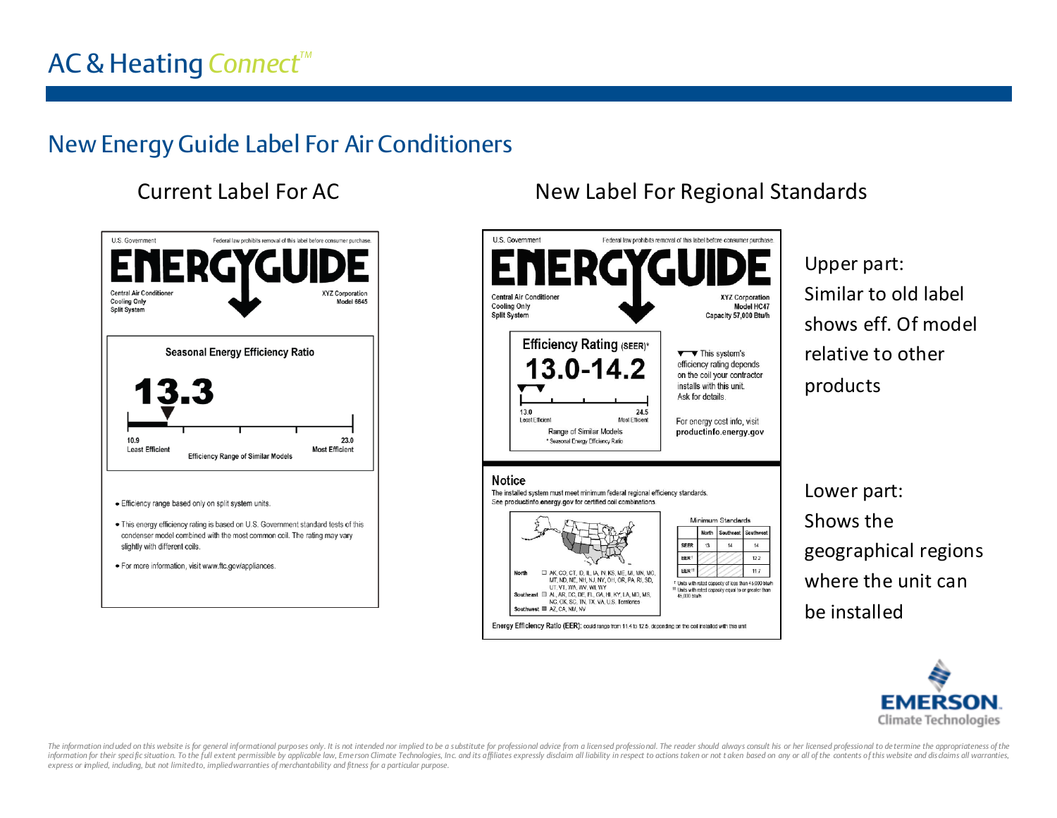# AC & Heating *ConnectTM*

# New Energy Guide Label For Air Conditioners

### Current Label For AC



#### New Label For Regional Standards



Upper part: Similar to old label shows eff. Of model relative to other products

Lower part: Shows the geographical regions where the unit can be installed



The information ind uded on this website is for general informational purposes only. It is not intended nor implied to be a substitute for professional advice from a licensed professional. The reader should always consult information for their specific situation. To the full extent permissible by applicable law, Emerson Climate Technologies, Inc. and its affiliates expressly disclaim all liability in respect to actions taken or not taken ba *express or implied, including, but not limited to, implied warranties of merchantability and fitness for a particular purpose.*